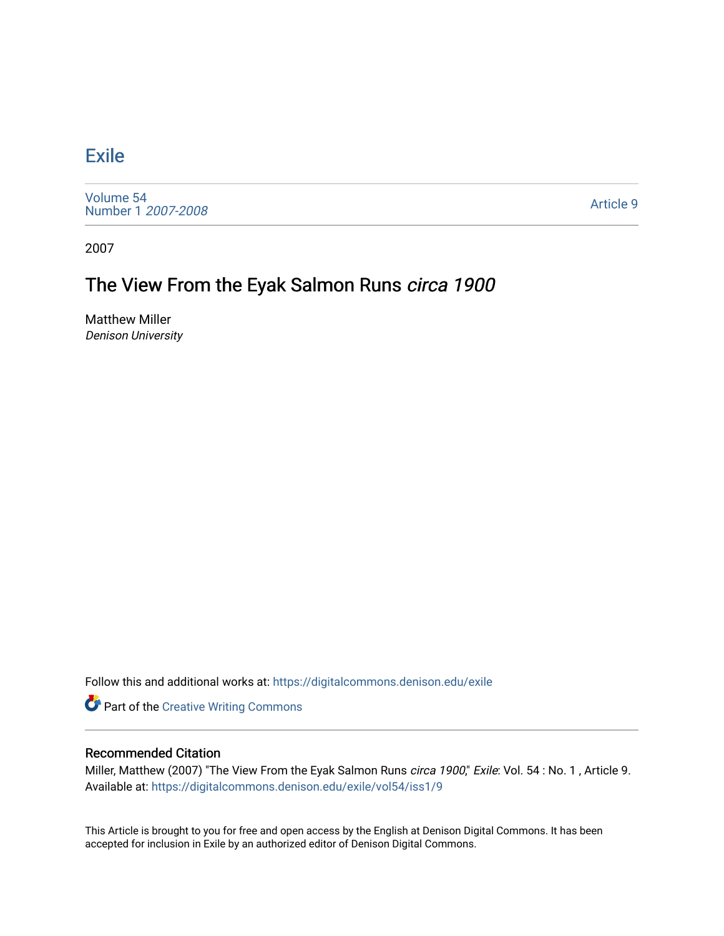## **[Exile](https://digitalcommons.denison.edu/exile)**

[Volume 54](https://digitalcommons.denison.edu/exile/vol54) [Number 1](https://digitalcommons.denison.edu/exile/vol54/iss1) 2007-2008

[Article 9](https://digitalcommons.denison.edu/exile/vol54/iss1/9) 

2007

## The View From the Eyak Salmon Runs circa 1900

Matthew Miller Denison University

Follow this and additional works at: [https://digitalcommons.denison.edu/exile](https://digitalcommons.denison.edu/exile?utm_source=digitalcommons.denison.edu%2Fexile%2Fvol54%2Fiss1%2F9&utm_medium=PDF&utm_campaign=PDFCoverPages) 

**Part of the Creative Writing Commons** 

## Recommended Citation

Miller, Matthew (2007) "The View From the Eyak Salmon Runs circa 1900," Exile: Vol. 54 : No. 1, Article 9. Available at: [https://digitalcommons.denison.edu/exile/vol54/iss1/9](https://digitalcommons.denison.edu/exile/vol54/iss1/9?utm_source=digitalcommons.denison.edu%2Fexile%2Fvol54%2Fiss1%2F9&utm_medium=PDF&utm_campaign=PDFCoverPages) 

This Article is brought to you for free and open access by the English at Denison Digital Commons. It has been accepted for inclusion in Exile by an authorized editor of Denison Digital Commons.